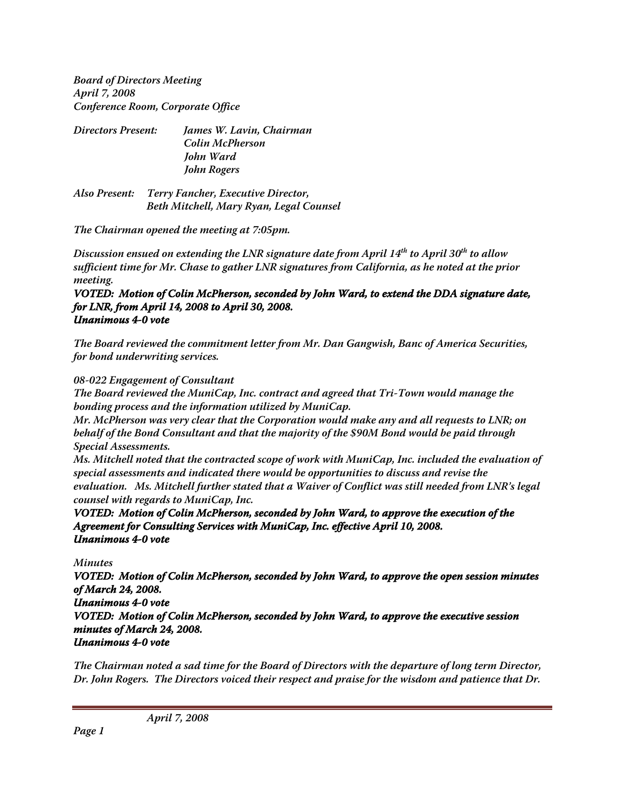**Board of Directors Meeting April 7, 2008 Conference Room, Corporate Office**

| <b>Directors Present:</b> | James W. Lavin, Chairman |
|---------------------------|--------------------------|
|                           | Colin McPherson          |
|                           | John Ward                |
|                           | John Rogers              |

**Also Present: Terry Fancher, Executive Director, Beth Mitchell, Mary Ryan, Legal Counsel**

**The Chairman opened the meeting at 7:05pm.**

Discussion ensued on extending the LNR signature date from April 14<sup>th</sup> to April 30<sup>th</sup> to allow **sufficient time for Mr. Chase to gather LNR signatures from California, as he noted at the prior meeting.**

## **VOTED: Motion of Colin McPherson, seconded by John Ward, to extend the DDA signature date, for LNR, from April 14, 2008 to April 30, 2008. Unanimous 4-0 vote**

**The Board reviewed the commitment letter from Mr. Dan Gangwish, Banc of America Securities, for bond underwriting services.**

## **08-022 Engagement of Consultant**

**The Board reviewed the MuniCap, Inc. contract and agreed that Tri-Town would manage the bonding process and the information utilized by MuniCap.**

**Mr. McPherson was very clear that the Corporation would make any and all requests to LNR; on behalf of the Bond Consultant and that the majority of the \$90M Bond would be paid through Special Assessments.**

**Ms. Mitchell noted that the contracted scope of work with MuniCap, Inc. included the evaluation of special assessments and indicated there would be opportunities to discuss and revise the evaluation. Ms. Mitchell further stated that a Waiver of Conflict was still needed from LNR's legal counsel with regards to MuniCap, Inc.**

**VOTED: Motion of Colin McPherson, seconded by John Ward, to approve the execution of the Agreement for Consulting Services with MuniCap, Inc. effective April 10, 2008. Unanimous 4-0 vote**

**Minutes**

**VOTED: Motion of Colin McPherson, seconded by John Ward, to approve the open session minutes of March 24, 2008. Unanimous 4-0 vote VOTED: Motion of Colin McPherson, seconded by John Ward, to approve the executive session minutes of March 24, 2008. Unanimous 4-0 vote**

**The Chairman noted a sad time for the Board of Directors with the departure of long term Director, Dr. John Rogers. The Directors voiced their respect and praise for the wisdom and patience that Dr.**

**April 7, 2008**